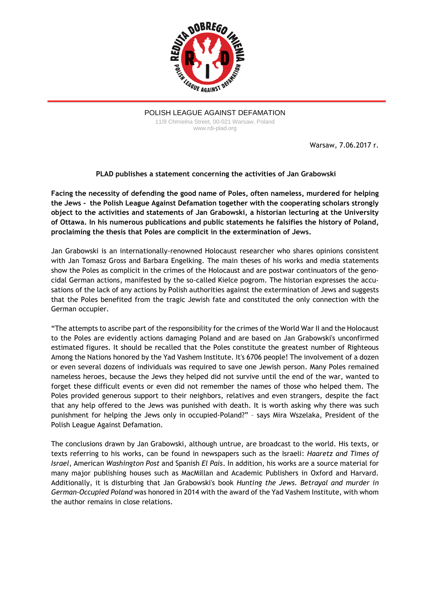

POLISH LEAGUE AGAINST DEFAMATION 11/8 Chmielna Street, 00-021 Warsaw, Poland www.rdi-plad.org

Warsaw, 7.06.2017 r.

## **PLAD publishes a statement concerning the activities of Jan Grabowski**

**Facing the necessity of defending the good name of Poles, often nameless, murdered for helping the Jews - the Polish League Against Defamation together with the cooperating scholars strongly object to the activities and statements of Jan Grabowski, a historian lecturing at the University of Ottawa. In his numerous publications and public statements he falsifies the history of Poland, proclaiming the thesis that Poles are complicit in the extermination of Jews.**

Jan Grabowski is an internationally-renowned Holocaust researcher who shares opinions consistent with Jan Tomasz Gross and Barbara Engelking. The main theses of his works and media statements show the Poles as complicit in the crimes of the Holocaust and are postwar continuators of the genocidal German actions, manifested by the so-called Kielce pogrom. The historian expresses the accusations of the lack of any actions by Polish authorities against the extermination of Jews and suggests that the Poles benefited from the tragic Jewish fate and constituted the only connection with the German occupier.

"The attempts to ascribe part of the responsibility for the crimes of the World War II and the Holocaust to the Poles are evidently actions damaging Poland and are based on Jan Grabowski's unconfirmed estimated figures. It should be recalled that the Poles constitute the greatest number of Righteous Among the Nations honored by the Yad Vashem Institute. It's 6706 people! The involvement of a dozen or even several dozens of individuals was required to save one Jewish person. Many Poles remained nameless heroes, because the Jews they helped did not survive until the end of the war, wanted to forget these difficult events or even did not remember the names of those who helped them. The Poles provided generous support to their neighbors, relatives and even strangers, despite the fact that any help offered to the Jews was punished with death. It is worth asking why there was such punishment for helping the Jews only in occupied-Poland?" – says Mira Wszelaka, President of the Polish League Against Defamation.

The conclusions drawn by Jan Grabowski, although untrue, are broadcast to the world. His texts, or texts referring to his works, can be found in newspapers such as the Israeli: *Haaretz and Times of Israel*, American *Washington Post* and Spanish *El Pais*. In addition, his works are a source material for many major publishing houses such as MacMillan and Academic Publishers in Oxford and Harvard. Additionally, it is disturbing that Jan Grabowski's book *Hunting the Jews. Betrayal and murder in German-Occupied Poland* was honored in 2014 with the award of the Yad Vashem Institute, with whom the author remains in close relations.